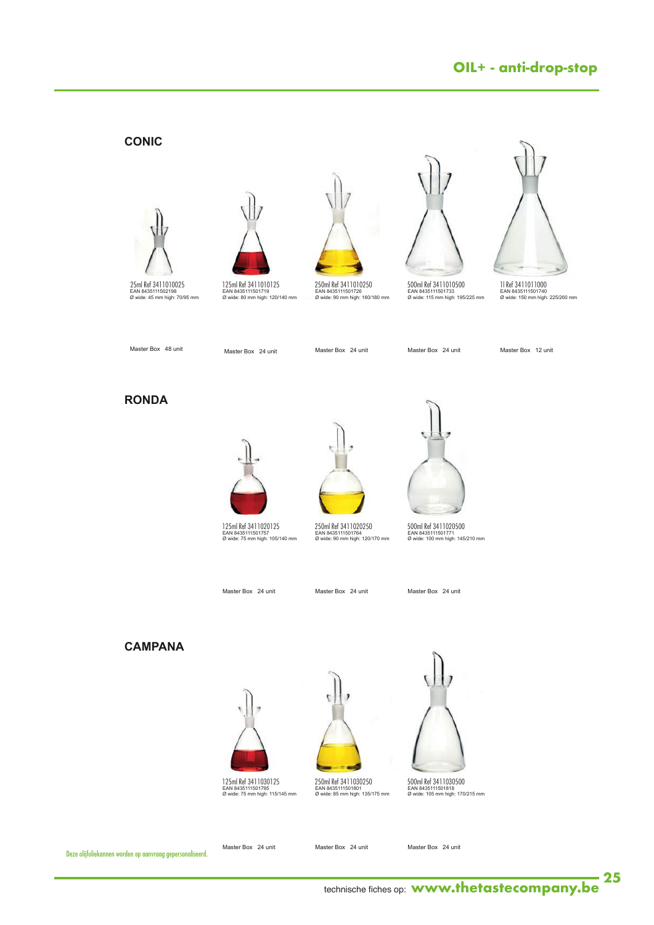# **OIL+ - anti-drop-stop**

### **CONIC**





**125 ml Ref. 34010125** EAN 8435111501719 Ø wide: 80 mm high: 120/140 mm



**250 ml Ref. 34010250** EAN 8435111501726 Ø wide: 90 mm high: 160/180 mm 250ml Ref 3411010250



**500 ml Ref. 34010500** 500ml Ref 3411010500 EAN 8435111501733 Ø wide: 115 mm high: 195/225 mm

**1 lt Ref. 34011000** 1l Ref 3411011000 EAN 8435111501740 Ø wide: 150 mm high: 225/260 mm

Master Box 48 unit

Master Box 24 unit

Master Box 24 unit

Master Box 24 unit

Master Box 12 unit

#### **RONDA**



**125 ml Ref. 34020125** EAN 8435111501757 Ø wide: 75 mm high: 105/140 mm 125ml Ref 3411020125







500ml Ref 34 I I020500<br>EAN 8435111501771<br>Ø wide: 100 mm high: 145/210 mm 500ml Ref 3411020500

Master Box 24 unit

Master Box 24 unit

Master Box 24 unit

### **CAMPANA**



**125 ml Ref. 34030125** EAN 8435111501795 Ø wide: 75 mm high: 115/145 mm 125ml Ref 3411030125 250ml Ref 3411030250 500ml Ref 3411030500



**250 ml Ref. 34030250** EAN 8435111501801 Ø wide: 85 mm high: 135/175 mm



500ml Ref 34 I I030500<br>EAN 8435111501818<br>Ø wide: 105 mm high: 170/215 mm

Deze olijfoliekannen worden op aanvraag gepersonaliseerd.

Master Box 24 unit

Master Box 24 unit

- 3 -

Master Box 24 unit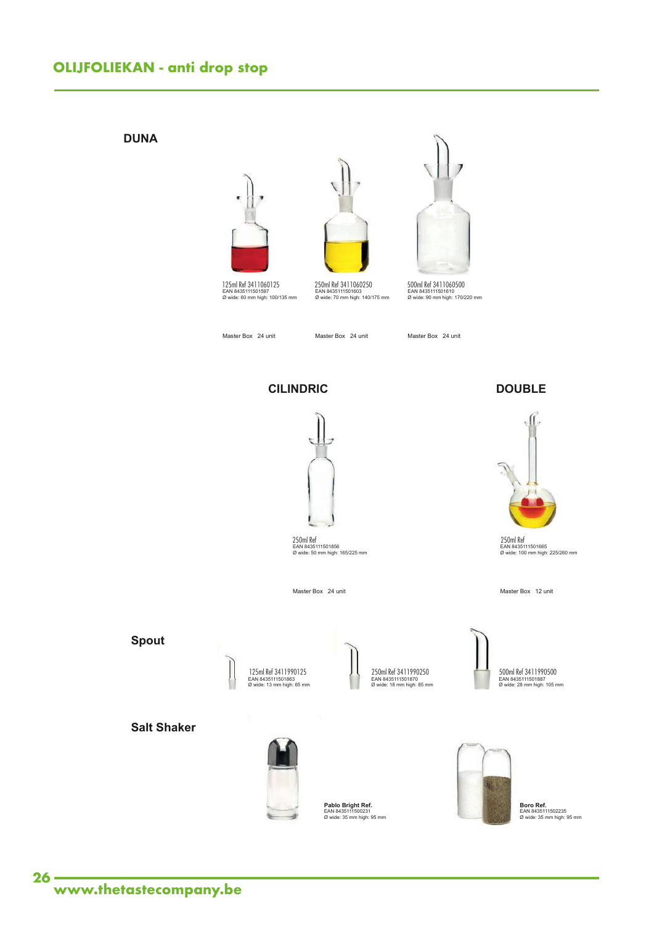## **OLIJFOLIEKAN - anti drop stop**

#### **DUNA**







**500 ml Ref. 34060500** EAN 8435111501610 Ø wide: 90 mm high: 170/220 mm **250 ml Ref. 34060250** EAN 8435111501603 Ø wide: 70 mm high: 140/175 mm 125ml Ref 3411060125 250ml Ref 3411060250 500ml Ref 3411060500

Master Box 24 unit

Master Box 24 unit

Master Box 24 unit

**CILINDRIC**



**250 ml Ref. 34050250** EAN 8435111501856 Ø wide: 50 mm high: 165/225 mm 250ml Ref

Master Box 24 unit

#### **DOUBLE**



**250 ml Ref. 34070350** EAN 8435111501665 Ø wide: 100 mm high: 225/260 mm 250ml Ref

Master Box 12 unit





**250 ml Ref. 34990250** EAN 8435111501870 Ø wide: 18 mm high: 85 mm

500ml Ref 34 I 1990500<br>EAN 8435111501887<br>Ø wide: 28 mm high: 105 mm 250ml Ref 3411990250 500ml Ref 3411990500

**Salt Shaker**



**Pablo Bright Ref.**<br>EAN 8435111500231<br>Ø wide: 35 mm high: 95 mm



**Boro Ref.**<br>EAN 8435111502235<br>Ø wide: 35 mm high: 95 mm